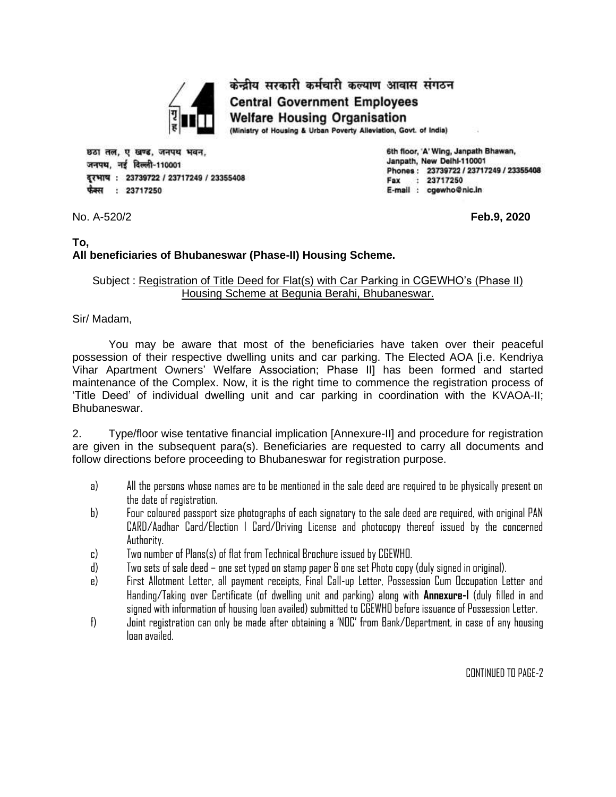

केन्द्रीय सरकारी कर्मचारी कल्याण आवास संगठन **Central Government Employees Welfare Housing Organisation** (Ministry of Housing & Urban Poverty Alleviation, Govt. of India)

छठा तल, ए खण्ड, जनपथ भवन. जनपथ. नई दिल्ली-110001 दूरभाष: 23739722 / 23717249 / 23355408 फैक्स : 23717250

6th floor, 'A' Wing, Janpath Bhawan, Janpath, New Deihi-110001 Phones: 23739722 / 23717249 / 23355408 Fax : 23717250 E-mail : cgewho@nic.in

No. A-520/2 **Feb.9, 2020**

## **To, All beneficiaries of Bhubaneswar (Phase-II) Housing Scheme.**

## Subject : Registration of Title Deed for Flat(s) with Car Parking in CGEWHO's (Phase II) Housing Scheme at Begunia Berahi, Bhubaneswar.

Sir/ Madam,

You may be aware that most of the beneficiaries have taken over their peaceful possession of their respective dwelling units and car parking. The Elected AOA [i.e. Kendriya Vihar Apartment Owners' Welfare Association; Phase II] has been formed and started maintenance of the Complex. Now, it is the right time to commence the registration process of 'Title Deed' of individual dwelling unit and car parking in coordination with the KVAOA-II; Bhubaneswar.

2. Type/floor wise tentative financial implication [Annexure-II] and procedure for registration are given in the subsequent para(s). Beneficiaries are requested to carry all documents and follow directions before proceeding to Bhubaneswar for registration purpose.

- a) All the persons whose names are to be mentioned in the sale deed are required to be physically present on the date of registration.
- b) Four coloured passport size photographs of each signatory to the sale deed are required, with original PAN CARD/Aadhar Card/Election I Card/Driving License and photocopy thereof issued by the concerned Authority.
- c) Two number of Plans(s) of flat from Technical Brochure issued by CGEWHO.
- d) Two sets of sale deed one set typed on stamp paper & one set Photo copy (duly signed in original).
- e) First Allotment Letter, all payment receipts, Final Call-up Letter, Possession Cum Occupation Letter and Handing/Taking over Certificate (of dwelling unit and parking) along with **Annexure-I** (duly filled in and signed with information of housing loan availed) submitted to CGEWHO before issuance of Possession Letter.
- f) Joint registration can only be made after obtaining a 'NOC' from Bank/Department, in case of any housing loan availed.

CONTINUED TO PAGE-2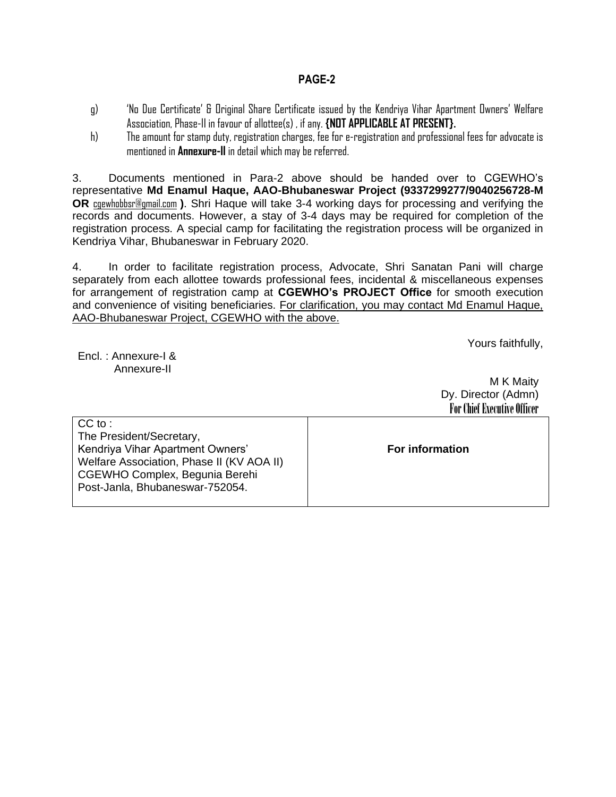#### **PAGE-2**

- g) 'No Due Certificate' & Original Share Certificate issued by the Kendriya Vihar Apartment Owners' Welfare Association, Phase-II in favour of allottee(s) , if any. **{NOT APPLICABLE AT PRESENT}.**
- h) The amount for stamp duty, registration charges, fee for e-registration and professional fees for advocate is mentioned in **Annexure-II** in detail which may be referred.

3. Documents mentioned in Para-2 above should be handed over to CGEWHO's representative **Md Enamul Haque, AAO-Bhubaneswar Project (9337299277/9040256728-M OR** [cgewhobbsr@gmail.com](mailto:cgewhobbsr@gmail.com) **)**. Shri Haque will take 3-4 working days for processing and verifying the records and documents. However, a stay of 3-4 days may be required for completion of the registration process. A special camp for facilitating the registration process will be organized in Kendriya Vihar, Bhubaneswar in February 2020.

4. In order to facilitate registration process, Advocate, Shri Sanatan Pani will charge separately from each allottee towards professional fees, incidental & miscellaneous expenses for arrangement of registration camp at **CGEWHO's PROJECT Office** for smooth execution and convenience of visiting beneficiaries. For clarification, you may contact Md Enamul Haque, AAO-Bhubaneswar Project, CGEWHO with the above.

Yours faithfully,

Encl. : Annexure-I & Annexure-II

M K Maity Dy. Director (Admn) For Chief Executive Officer

| $CC$ to :                                 |                        |
|-------------------------------------------|------------------------|
| The President/Secretary,                  |                        |
| Kendriya Vihar Apartment Owners'          | <b>For information</b> |
| Welfare Association, Phase II (KV AOA II) |                        |
| CGEWHO Complex, Begunia Berehi            |                        |
| Post-Janla, Bhubaneswar-752054.           |                        |
|                                           |                        |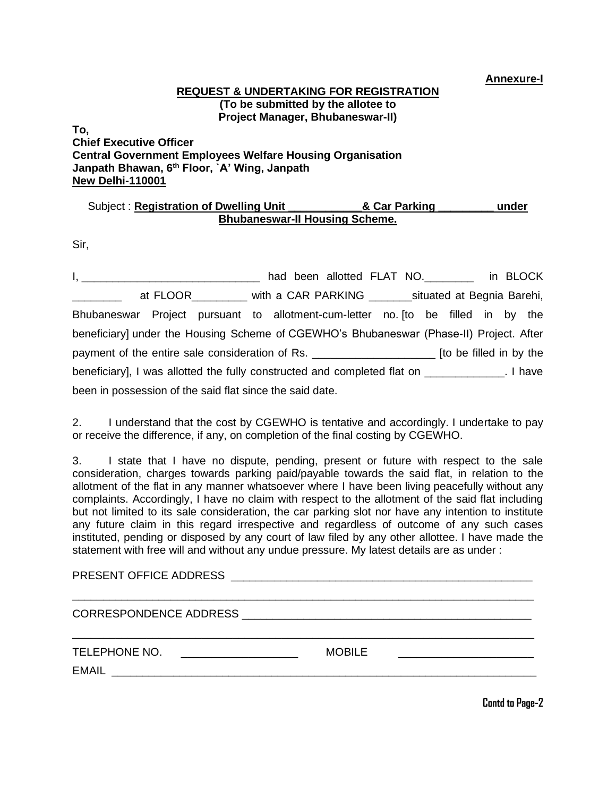**Annexure-I**

### **REQUEST & UNDERTAKING FOR REGISTRATION (To be submitted by the allotee to Project Manager, Bhubaneswar-II)**

**To, Chief Executive Officer Central Government Employees Welfare Housing Organisation Janpath Bhawan, 6th Floor, `A' Wing, Janpath New Delhi-110001**

## Subject : **Registration of Dwelling Unit \_\_\_\_\_\_\_\_\_\_\_\_& Car Parking \_\_\_\_\_\_\_\_\_ under Bhubaneswar-II Housing Scheme.**

Sir,

| <u>I, en antico de la componenta de la componenta de la componenta de la componenta de la componenta de la compo</u> |  |  |  |  | had been allotted FLAT NO. _________ in BLOCK |  |  |  |  |  |  |
|----------------------------------------------------------------------------------------------------------------------|--|--|--|--|-----------------------------------------------|--|--|--|--|--|--|
| at FLOOR_________ with a CAR PARKING ________ situated at Begnia Barehi,                                             |  |  |  |  |                                               |  |  |  |  |  |  |
| Bhubaneswar Project pursuant to allotment-cum-letter no. [to be filled in by the                                     |  |  |  |  |                                               |  |  |  |  |  |  |
| beneficiary] under the Housing Scheme of CGEWHO's Bhubaneswar (Phase-II) Project. After                              |  |  |  |  |                                               |  |  |  |  |  |  |
| payment of the entire sale consideration of Rs. _________________________________ [to be filled in by the            |  |  |  |  |                                               |  |  |  |  |  |  |
|                                                                                                                      |  |  |  |  |                                               |  |  |  |  |  |  |
| been in possession of the said flat since the said date.                                                             |  |  |  |  |                                               |  |  |  |  |  |  |

2. I understand that the cost by CGEWHO is tentative and accordingly. I undertake to pay or receive the difference, if any, on completion of the final costing by CGEWHO.

3. I state that I have no dispute, pending, present or future with respect to the sale consideration, charges towards parking paid/payable towards the said flat, in relation to the allotment of the flat in any manner whatsoever where I have been living peacefully without any complaints. Accordingly, I have no claim with respect to the allotment of the said flat including but not limited to its sale consideration, the car parking slot nor have any intention to institute any future claim in this regard irrespective and regardless of outcome of any such cases instituted, pending or disposed by any court of law filed by any other allottee. I have made the statement with free will and without any undue pressure. My latest details are as under :

| TELEPHONE NO.<br>EMAIL<br><u> 1980 - Jan Barat, margaret amerikan basar dan berasal dari berasal dalam basa dan berasal dan berasal dalam </u> | <b>MOBILE</b> |  |
|------------------------------------------------------------------------------------------------------------------------------------------------|---------------|--|

**Contd to Page-2**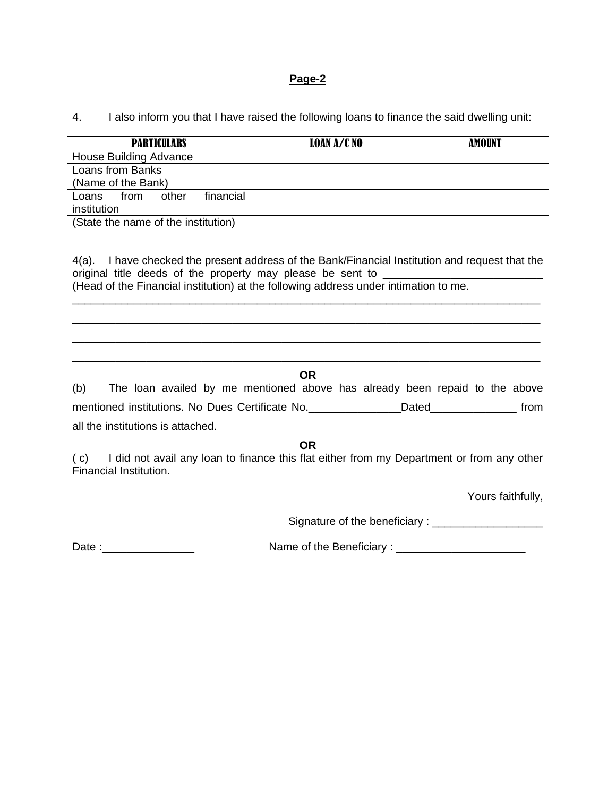#### **Page-2**

| 4. | I also inform you that I have raised the following loans to finance the said dwelling unit: |  |  |  |  |
|----|---------------------------------------------------------------------------------------------|--|--|--|--|
|    |                                                                                             |  |  |  |  |

| <b>PARTICULARS</b>                  | LOAN A/C NO | <b>AMOUNT</b> |  |  |  |  |
|-------------------------------------|-------------|---------------|--|--|--|--|
| House Building Advance              |             |               |  |  |  |  |
| Loans from Banks                    |             |               |  |  |  |  |
| (Name of the Bank)                  |             |               |  |  |  |  |
| financial<br>other<br>Loans<br>from |             |               |  |  |  |  |
| institution                         |             |               |  |  |  |  |
| (State the name of the institution) |             |               |  |  |  |  |

4(a). I have checked the present address of the Bank/Financial Institution and request that the original title deeds of the property may please be sent to (Head of the Financial institution) at the following address under intimation to me.

\_\_\_\_\_\_\_\_\_\_\_\_\_\_\_\_\_\_\_\_\_\_\_\_\_\_\_\_\_\_\_\_\_\_\_\_\_\_\_\_\_\_\_\_\_\_\_\_\_\_\_\_\_\_\_\_\_\_\_\_\_\_\_\_\_\_\_\_\_\_\_\_\_\_\_\_ \_\_\_\_\_\_\_\_\_\_\_\_\_\_\_\_\_\_\_\_\_\_\_\_\_\_\_\_\_\_\_\_\_\_\_\_\_\_\_\_\_\_\_\_\_\_\_\_\_\_\_\_\_\_\_\_\_\_\_\_\_\_\_\_\_\_\_\_\_\_\_\_\_\_\_\_ \_\_\_\_\_\_\_\_\_\_\_\_\_\_\_\_\_\_\_\_\_\_\_\_\_\_\_\_\_\_\_\_\_\_\_\_\_\_\_\_\_\_\_\_\_\_\_\_\_\_\_\_\_\_\_\_\_\_\_\_\_\_\_\_\_\_\_\_\_\_\_\_\_\_\_\_

# \_\_\_\_\_\_\_\_\_\_\_\_\_\_\_\_\_\_\_\_\_\_\_\_\_\_\_\_\_\_\_\_\_\_\_\_\_\_\_\_\_\_\_\_\_\_\_\_\_\_\_\_\_\_\_\_\_\_\_\_\_\_\_\_\_\_\_\_\_\_\_\_\_\_\_\_ **OR**

(b) The loan availed by me mentioned above has already been repaid to the above mentioned institutions. No Dues Certificate No. \_\_\_\_\_\_\_\_\_\_\_\_\_\_Dated\_\_\_\_\_\_\_\_\_\_\_\_\_ from all the institutions is attached.

**OR**

( c) I did not avail any loan to finance this flat either from my Department or from any other Financial Institution.

Yours faithfully,

Signature of the beneficiary : \_\_\_\_\_\_\_\_\_\_\_\_\_\_\_\_\_\_

Date :\_\_\_\_\_\_\_\_\_\_\_\_\_\_\_ Name of the Beneficiary : \_\_\_\_\_\_\_\_\_\_\_\_\_\_\_\_\_\_\_\_\_